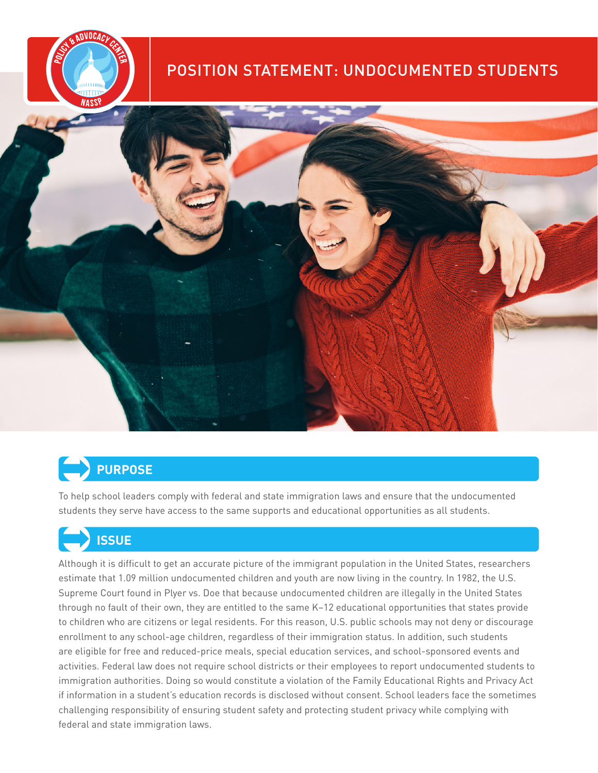



# Ü**PURPOSE**

To help school leaders comply with federal and state immigration laws and ensure that the undocumented students they serve have access to the same supports and educational opportunities as all students.

# Ü**ISSUE**

Although it is difficult to get an accurate picture of the immigrant population in the United States, researchers estimate that 1.09 million undocumented children and youth are now living in the country. In 1982, the U.S. Supreme Court found in Plyer vs. Doe that because undocumented children are illegally in the United States through no fault of their own, they are entitled to the same K–12 educational opportunities that states provide to children who are citizens or legal residents. For this reason, U.S. public schools may not deny or discourage enrollment to any school-age children, regardless of their immigration status. In addition, such students are eligible for free and reduced-price meals, special education services, and school-sponsored events and activities. Federal law does not require school districts or their employees to report undocumented students to immigration authorities. Doing so would constitute a violation of the Family Educational Rights and Privacy Act if information in a student's education records is disclosed without consent. School leaders face the sometimes challenging responsibility of ensuring student safety and protecting student privacy while complying with federal and state immigration laws.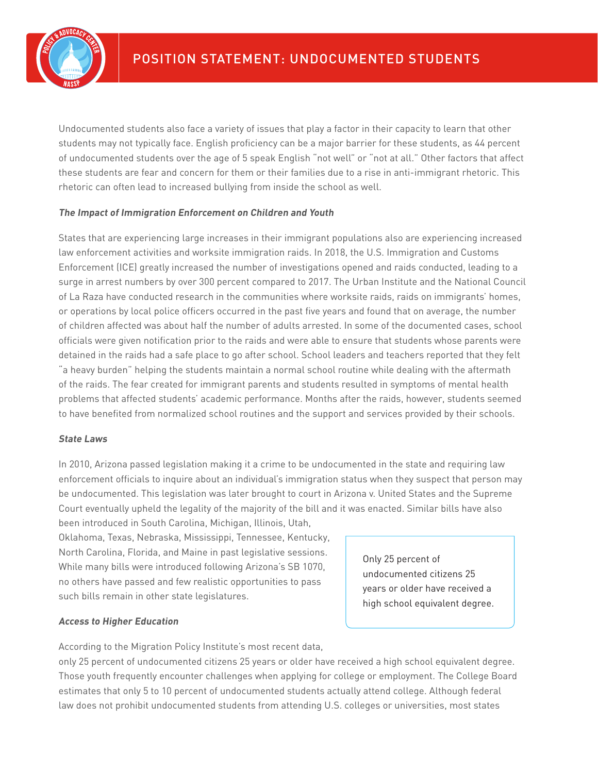

Undocumented students also face a variety of issues that play a factor in their capacity to learn that other students may not typically face. English proficiency can be a major barrier for these students, as 44 percent of undocumented students over the age of 5 speak English "not well" or "not at all." Other factors that affect these students are fear and concern for them or their families due to a rise in anti-immigrant rhetoric. This rhetoric can often lead to increased bullying from inside the school as well.

#### **The Impact of Immigration Enforcement on Children and Youth**

States that are experiencing large increases in their immigrant populations also are experiencing increased law enforcement activities and worksite immigration raids. In 2018, the U.S. Immigration and Customs Enforcement (ICE) greatly increased the number of investigations opened and raids conducted, leading to a surge in arrest numbers by over 300 percent compared to 2017. The Urban Institute and the National Council of La Raza have conducted research in the communities where worksite raids, raids on immigrants' homes, or operations by local police officers occurred in the past five years and found that on average, the number of children affected was about half the number of adults arrested. In some of the documented cases, school officials were given notification prior to the raids and were able to ensure that students whose parents were detained in the raids had a safe place to go after school. School leaders and teachers reported that they felt "a heavy burden" helping the students maintain a normal school routine while dealing with the aftermath of the raids. The fear created for immigrant parents and students resulted in symptoms of mental health problems that affected students' academic performance. Months after the raids, however, students seemed to have benefited from normalized school routines and the support and services provided by their schools.

#### **State Laws**

In 2010, Arizona passed legislation making it a crime to be undocumented in the state and requiring law enforcement officials to inquire about an individual's immigration status when they suspect that person may be undocumented. This legislation was later brought to court in Arizona v. United States and the Supreme Court eventually upheld the legality of the majority of the bill and it was enacted. Similar bills have also been introduced in South Carolina, Michigan, Illinois, Utah,

Oklahoma, Texas, Nebraska, Mississippi, Tennessee, Kentucky, North Carolina, Florida, and Maine in past legislative sessions. While many bills were introduced following Arizona's SB 1070, no others have passed and few realistic opportunities to pass such bills remain in other state legislatures.

#### **Access to Higher Education**

According to the Migration Policy Institute's most recent data,

only 25 percent of undocumented citizens 25 years or older have received a high school equivalent degree. Those youth frequently encounter challenges when applying for college or employment. The College Board estimates that only 5 to 10 percent of undocumented students actually attend college. Although federal law does not prohibit undocumented students from attending U.S. colleges or universities, most states

Only 25 percent of undocumented citizens 25 years or older have received a high school equivalent degree.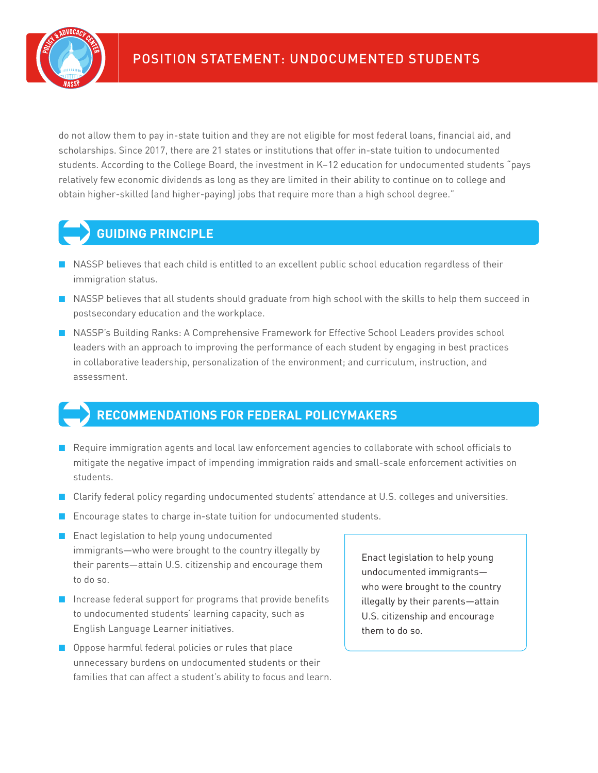

do not allow them to pay in-state tuition and they are not eligible for most federal loans, financial aid, and scholarships. Since 2017, there are 21 states or institutions that offer in-state tuition to undocumented students. According to the College Board, the investment in K–12 education for undocumented students "pays relatively few economic dividends as long as they are limited in their ability to continue on to college and obtain higher-skilled (and higher-paying) jobs that require more than a high school degree."

# Ü**GUIDING PRINCIPLE**

- NASSP believes that each child is entitled to an excellent public school education regardless of their immigration status.
- NASSP believes that all students should graduate from high school with the skills to help them succeed in postsecondary education and the workplace.
- NASSP's Building Ranks: A Comprehensive Framework for Effective School Leaders provides school leaders with an approach to improving the performance of each student by engaging in best practices in collaborative leadership, personalization of the environment; and curriculum, instruction, and assessment.

## Ü**RECOMMENDATIONS FOR FEDERAL POLICYMAKERS**

- Require immigration agents and local law enforcement agencies to collaborate with school officials to mitigate the negative impact of impending immigration raids and small-scale enforcement activities on students.
- Clarify federal policy regarding undocumented students' attendance at U.S. colleges and universities.
- Encourage states to charge in-state tuition for undocumented students.
- Enact legislation to help young undocumented immigrants—who were brought to the country illegally by their parents—attain U.S. citizenship and encourage them to do so.
- Increase federal support for programs that provide benefits to undocumented students' learning capacity, such as English Language Learner initiatives.
- Oppose harmful federal policies or rules that place unnecessary burdens on undocumented students or their families that can affect a student's ability to focus and learn.

Enact legislation to help young undocumented immigrants who were brought to the country illegally by their parents—attain U.S. citizenship and encourage them to do so.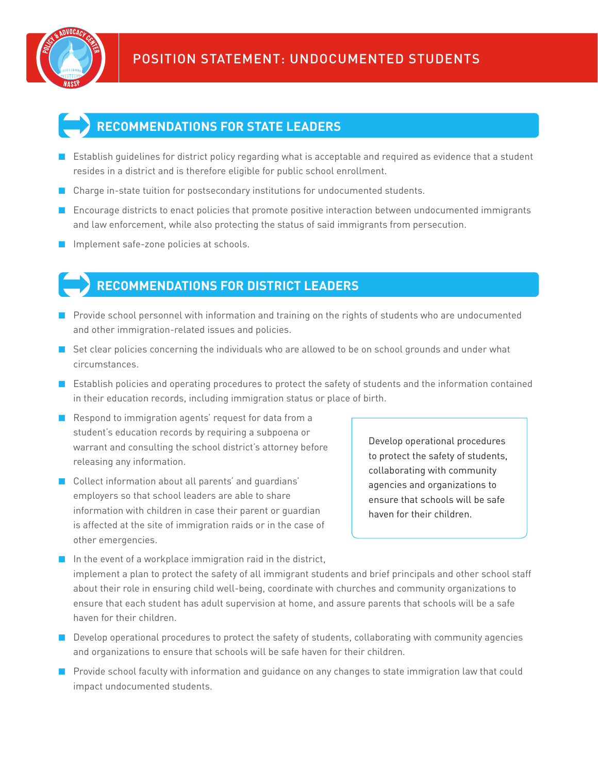



- Establish quidelines for district policy regarding what is acceptable and required as evidence that a student resides in a district and is therefore eligible for public school enrollment.
- Charge in-state tuition for postsecondary institutions for undocumented students.
- Encourage districts to enact policies that promote positive interaction between undocumented immigrants and law enforcement, while also protecting the status of said immigrants from persecution.
- Implement safe-zone policies at schools.

### Ü**RECOMMENDATIONS FOR DISTRICT LEADERS**

- Provide school personnel with information and training on the rights of students who are undocumented and other immigration-related issues and policies.
- Set clear policies concerning the individuals who are allowed to be on school grounds and under what circumstances.
- Establish policies and operating procedures to protect the safety of students and the information contained in their education records, including immigration status or place of birth.
- Respond to immigration agents' request for data from a student's education records by requiring a subpoena or warrant and consulting the school district's attorney before releasing any information.
- Collect information about all parents' and quardians' employers so that school leaders are able to share information with children in case their parent or guardian is affected at the site of immigration raids or in the case of other emergencies.

Develop operational procedures to protect the safety of students, collaborating with community agencies and organizations to ensure that schools will be safe haven for their children.

- In the event of a workplace immigration raid in the district, implement a plan to protect the safety of all immigrant students and brief principals and other school staff about their role in ensuring child well-being, coordinate with churches and community organizations to ensure that each student has adult supervision at home, and assure parents that schools will be a safe haven for their children.
- Develop operational procedures to protect the safety of students, collaborating with community agencies and organizations to ensure that schools will be safe haven for their children.
- Provide school faculty with information and quidance on any changes to state immigration law that could impact undocumented students.